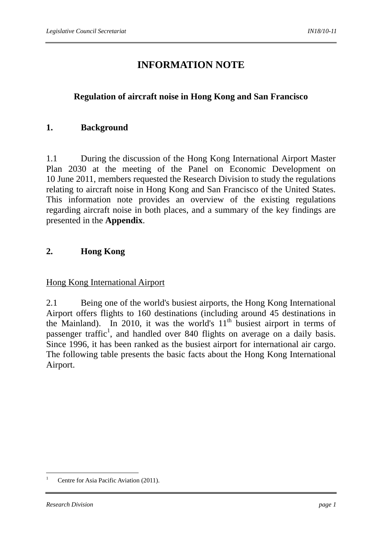# **INFORMATION NOTE**

## **Regulation of aircraft noise in Hong Kong and San Francisco**

## **1. Background**

1.1 During the discussion of the Hong Kong International Airport Master Plan 2030 at the meeting of the Panel on Economic Development on 10 June 2011, members requested the Research Division to study the regulations relating to aircraft noise in Hong Kong and San Francisco of the United States. This information note provides an overview of the existing regulations regarding aircraft noise in both places, and a summary of the key findings are presented in the **Appendix**.

## **2. Hong Kong**

#### Hong Kong International Airport

2.1 Being one of the world's busiest airports, the Hong Kong International Airport offers flights to 160 destinations (including around 45 destinations in the Mainland). In 2010, it was the world's  $11<sup>th</sup>$  busiest airport in terms of passenger traffic<sup>1</sup>, and handled over 840 flights on average on a daily basis. Since 1996, it has been ranked as the busiest airport for international air cargo. The following table presents the basic facts about the Hong Kong International Airport.

<sup>&</sup>lt;u>.</u> 1 Centre for Asia Pacific Aviation (2011).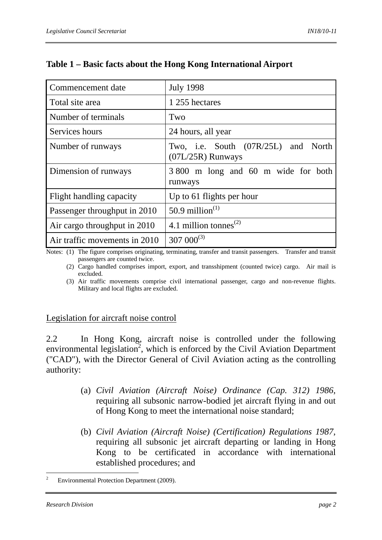| Commencement date             | <b>July 1998</b>                                           |
|-------------------------------|------------------------------------------------------------|
| Total site area               | 1 255 hectares                                             |
| Number of terminals           | Two                                                        |
| Services hours                | 24 hours, all year                                         |
| Number of runways             | Two, i.e. South (07R/25L) and North<br>$(07L/25R)$ Runways |
| Dimension of runways          | 3 800 m long and 60 m wide for both<br>runways             |
| Flight handling capacity      | Up to 61 flights per hour                                  |
| Passenger throughput in 2010  | 50.9 million <sup><math>(1)</math></sup>                   |
| Air cargo throughput in 2010  | 4.1 million tonnes <sup><math>(2)</math></sup>             |
| Air traffic movements in 2010 | $307~000^{(3)}$                                            |

## **Table 1 – Basic facts about the Hong Kong International Airport**

Notes: (1) The figure comprises originating, terminating, transfer and transit passengers. Transfer and transit passengers are counted twice.

 (2) Cargo handled comprises import, export, and transshipment (counted twice) cargo. Air mail is excluded.

 (3) Air traffic movements comprise civil international passenger, cargo and non-revenue flights. Military and local flights are excluded.

## Legislation for aircraft noise control

2.2 In Hong Kong, aircraft noise is controlled under the following environmental legislation<sup>2</sup>, which is enforced by the Civil Aviation Department ("CAD"), with the Director General of Civil Aviation acting as the controlling authority:

- (a) *Civil Aviation (Aircraft Noise) Ordinance (Cap. 312) 1986*, requiring all subsonic narrow-bodied jet aircraft flying in and out of Hong Kong to meet the international noise standard;
- (b) *Civil Aviation (Aircraft Noise) (Certification) Regulations 1987*, requiring all subsonic jet aircraft departing or landing in Hong Kong to be certificated in accordance with international established procedures; and

<sup>&</sup>lt;u>.</u> 2 Environmental Protection Department (2009).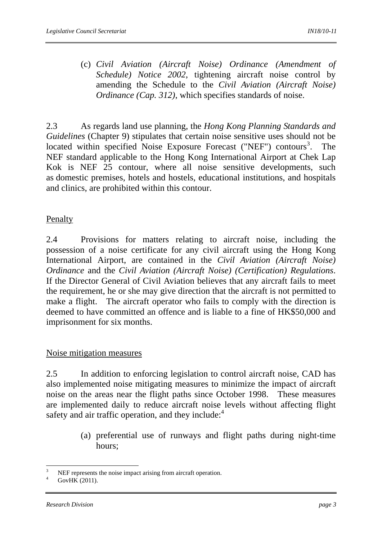(c) *Civil Aviation (Aircraft Noise) Ordinance (Amendment of Schedule) Notice 2002*, tightening aircraft noise control by amending the Schedule to the *Civil Aviation (Aircraft Noise) Ordinance (Cap. 312)*, which specifies standards of noise.

2.3 As regards land use planning, the *Hong Kong Planning Standards and Guidelines* (Chapter 9) stipulates that certain noise sensitive uses should not be located within specified Noise Exposure Forecast ("NEF") contours<sup>3</sup>. The NEF standard applicable to the Hong Kong International Airport at Chek Lap Kok is NEF 25 contour, where all noise sensitive developments, such as domestic premises, hotels and hostels, educational institutions, and hospitals and clinics, are prohibited within this contour.

## Penalty

2.4 Provisions for matters relating to aircraft noise, including the possession of a noise certificate for any civil aircraft using the Hong Kong International Airport, are contained in the *Civil Aviation (Aircraft Noise) Ordinance* and the *Civil Aviation (Aircraft Noise) (Certification) Regulations*. If the Director General of Civil Aviation believes that any aircraft fails to meet the requirement, he or she may give direction that the aircraft is not permitted to make a flight. The aircraft operator who fails to comply with the direction is deemed to have committed an offence and is liable to a fine of HK\$50,000 and imprisonment for six months.

## Noise mitigation measures

2.5 In addition to enforcing legislation to control aircraft noise, CAD has also implemented noise mitigating measures to minimize the impact of aircraft noise on the areas near the flight paths since October 1998. These measures are implemented daily to reduce aircraft noise levels without affecting flight safety and air traffic operation, and they include:<sup>4</sup>

> (a) preferential use of runways and flight paths during night-time hours;

<sup>1</sup> 3 NEF represents the noise impact arising from aircraft operation.

<sup>4</sup> GovHK (2011).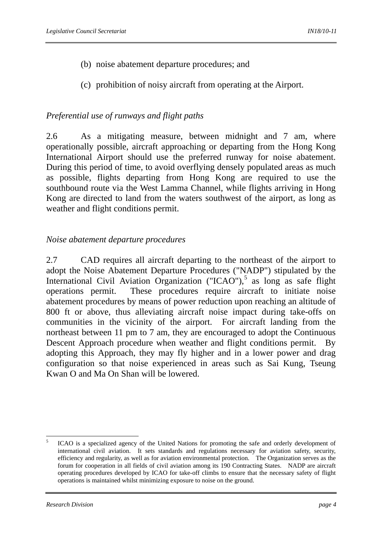- (b) noise abatement departure procedures; and
- (c) prohibition of noisy aircraft from operating at the Airport.

## *Preferential use of runways and flight paths*

2.6 As a mitigating measure, between midnight and 7 am, where operationally possible, aircraft approaching or departing from the Hong Kong International Airport should use the preferred runway for noise abatement. During this period of time, to avoid overflying densely populated areas as much as possible, flights departing from Hong Kong are required to use the southbound route via the West Lamma Channel, while flights arriving in Hong Kong are directed to land from the waters southwest of the airport, as long as weather and flight conditions permit.

## *Noise abatement departure procedures*

2.7 CAD requires all aircraft departing to the northeast of the airport to adopt the Noise Abatement Departure Procedures ("NADP") stipulated by the International Civil Aviation Organization ("ICAO"),<sup>5</sup> as long as safe flight operations permit. These procedures require aircraft to initiate noise abatement procedures by means of power reduction upon reaching an altitude of 800 ft or above, thus alleviating aircraft noise impact during take-offs on communities in the vicinity of the airport. For aircraft landing from the northeast between 11 pm to 7 am, they are encouraged to adopt the Continuous Descent Approach procedure when weather and flight conditions permit. By adopting this Approach, they may fly higher and in a lower power and drag configuration so that noise experienced in areas such as Sai Kung, Tseung Kwan O and Ma On Shan will be lowered.

 $\frac{1}{5}$  ICAO is a specialized agency of the United Nations for promoting the safe and orderly development of international civil aviation. It sets standards and regulations necessary for aviation safety, security, efficiency and regularity, as well as for aviation environmental protection. The Organization serves as the forum for cooperation in all fields of civil aviation among its 190 Contracting States. NADP are aircraft operating procedures developed by ICAO for take-off climbs to ensure that the necessary safety of flight operations is maintained whilst minimizing exposure to noise on the ground.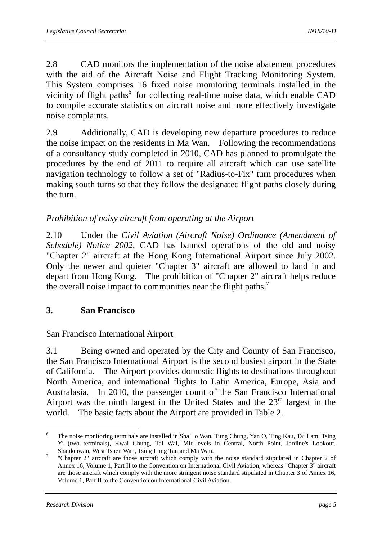2.8 CAD monitors the implementation of the noise abatement procedures with the aid of the Aircraft Noise and Flight Tracking Monitoring System. This System comprises 16 fixed noise monitoring terminals installed in the vicinity of flight paths<sup>6</sup> for collecting real-time noise data, which enable CAD to compile accurate statistics on aircraft noise and more effectively investigate noise complaints.

2.9 Additionally, CAD is developing new departure procedures to reduce the noise impact on the residents in Ma Wan. Following the recommendations of a consultancy study completed in 2010, CAD has planned to promulgate the procedures by the end of 2011 to require all aircraft which can use satellite navigation technology to follow a set of "Radius-to-Fix" turn procedures when making south turns so that they follow the designated flight paths closely during the turn.

## *Prohibition of noisy aircraft from operating at the Airport*

2.10 Under the *Civil Aviation (Aircraft Noise) Ordinance (Amendment of Schedule) Notice 2002*, CAD has banned operations of the old and noisy "Chapter 2" aircraft at the Hong Kong International Airport since July 2002. Only the newer and quieter "Chapter 3" aircraft are allowed to land in and depart from Hong Kong. The prohibition of "Chapter 2" aircraft helps reduce the overall noise impact to communities near the flight paths.<sup>7</sup>

## **3. San Francisco**

## San Francisco International Airport

3.1 Being owned and operated by the City and County of San Francisco, the San Francisco International Airport is the second busiest airport in the State of California. The Airport provides domestic flights to destinations throughout North America, and international flights to Latin America, Europe, Asia and Australasia. In 2010, the passenger count of the San Francisco International Airport was the ninth largest in the United States and the  $23<sup>rd</sup>$  largest in the world. The basic facts about the Airport are provided in Table 2.

<sup>&</sup>lt;u>.</u> 6 The noise monitoring terminals are installed in Sha Lo Wan, Tung Chung, Yan O, Ting Kau, Tai Lam, Tsing Yi (two terminals), Kwai Chung, Tai Wai, Mid-levels in Central, North Point, Jardine's Lookout, Shaukeiwan, West Tsuen Wan, Tsing Lung Tau and Ma Wan. 7

 <sup>&</sup>quot;Chapter 2" aircraft are those aircraft which comply with the noise standard stipulated in Chapter 2 of Annex 16, Volume 1, Part II to the Convention on International Civil Aviation, whereas "Chapter 3" aircraft are those aircraft which comply with the more stringent noise standard stipulated in Chapter 3 of Annex 16, Volume 1, Part II to the Convention on International Civil Aviation.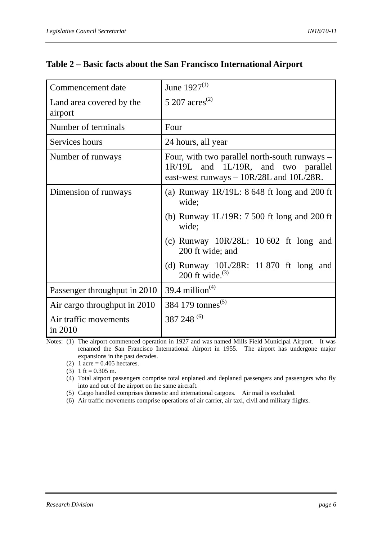| Commencement date                   | June $1927^{(1)}$                                                                                                                    |
|-------------------------------------|--------------------------------------------------------------------------------------------------------------------------------------|
| Land area covered by the<br>airport | 5 207 $\rm{acres}^{(2)}$                                                                                                             |
| Number of terminals                 | Four                                                                                                                                 |
| Services hours                      | 24 hours, all year                                                                                                                   |
| Number of runways                   | Four, with two parallel north-south runways -<br>1R/19L and 1L/19R, and two parallel<br>east-west runways $-10R/28L$ and $10L/28R$ . |
| Dimension of runways                | (a) Runway 1R/19L: $8648$ ft long and 200 ft<br>wide;                                                                                |
|                                     | (b) Runway $1L/19R: 7500$ ft long and 200 ft<br>wide;                                                                                |
|                                     | (c) Runway $10R/28L$ : 10 602 ft long and<br>200 ft wide; and                                                                        |
|                                     | (d) Runway $10L/28R$ : 11 870 ft long and<br>200 ft wide. $^{(3)}$                                                                   |
| Passenger throughput in 2010        | 39.4 million <sup><math>(4)</math></sup>                                                                                             |
| Air cargo throughput in 2010        | 384 179 tonnes <sup>(5)</sup>                                                                                                        |
| Air traffic movements<br>in 2010    | 387 248 (6)                                                                                                                          |

## **Table 2 – Basic facts about the San Francisco International Airport**

Notes: (1) The airport commenced operation in 1927 and was named Mills Field Municipal Airport. It was renamed the San Francisco International Airport in 1955. The airport has undergone major expansions in the past decades.

(2) 1 acre =  $0.405$  hectares.

(3) 1 ft =  $0.305$  m.

 (4) Total airport passengers comprise total enplaned and deplaned passengers and passengers who fly into and out of the airport on the same aircraft.

(5) Cargo handled comprises domestic and international cargoes. Air mail is excluded.

(6) Air traffic movements comprise operations of air carrier, air taxi, civil and military flights.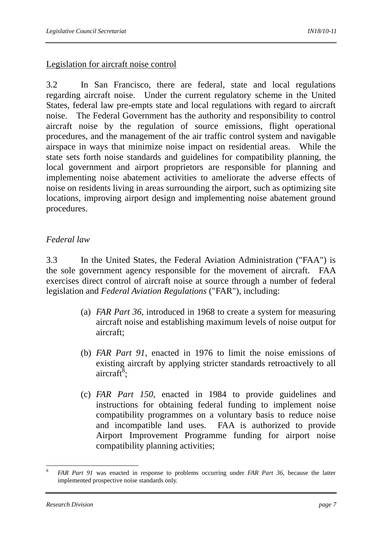#### Legislation for aircraft noise control

3.2 In San Francisco, there are federal, state and local regulations regarding aircraft noise. Under the current regulatory scheme in the United States, federal law pre-empts state and local regulations with regard to aircraft noise. The Federal Government has the authority and responsibility to control aircraft noise by the regulation of source emissions, flight operational procedures, and the management of the air traffic control system and navigable airspace in ways that minimize noise impact on residential areas. While the state sets forth noise standards and guidelines for compatibility planning, the local government and airport proprietors are responsible for planning and implementing noise abatement activities to ameliorate the adverse effects of noise on residents living in areas surrounding the airport, such as optimizing site locations, improving airport design and implementing noise abatement ground procedures.

### *Federal law*

3.3 In the United States, the Federal Aviation Administration ("FAA") is the sole government agency responsible for the movement of aircraft. FAA exercises direct control of aircraft noise at source through a number of federal legislation and *Federal Aviation Regulations* ("FAR"), including:

- (a) *FAR Part 36*, introduced in 1968 to create a system for measuring aircraft noise and establishing maximum levels of noise output for aircraft;
- (b) *FAR Part 91*, enacted in 1976 to limit the noise emissions of existing aircraft by applying stricter standards retroactively to all aircraft $\overline{8}$ ;
- (c) *FAR Part 150*, enacted in 1984 to provide guidelines and instructions for obtaining federal funding to implement noise compatibility programmes on a voluntary basis to reduce noise and incompatible land uses. FAA is authorized to provide Airport Improvement Programme funding for airport noise compatibility planning activities;

<sup>1</sup> <sup>8</sup> *FAR Part 91* was enacted in response to problems occurring under *FAR Part 36*, because the latter implemented prospective noise standards only.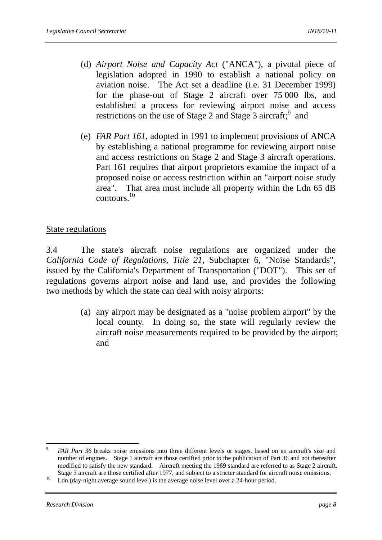- (d) *Airport Noise and Capacity Act* ("ANCA"), a pivotal piece of legislation adopted in 1990 to establish a national policy on aviation noise. The Act set a deadline (i.e. 31 December 1999) for the phase-out of Stage 2 aircraft over 75 000 lbs, and established a process for reviewing airport noise and access restrictions on the use of Stage 2 and Stage 3 aircraft;  $9$  and
- (e) *FAR Part 161*, adopted in 1991 to implement provisions of ANCA by establishing a national programme for reviewing airport noise and access restrictions on Stage 2 and Stage 3 aircraft operations. Part 161 requires that airport proprietors examine the impact of a proposed noise or access restriction within an "airport noise study area". That area must include all property within the Ldn 65 dB contours.10

### State regulations

3.4 The state's aircraft noise regulations are organized under the *California Code of Regulations, Title 21*, Subchapter 6, "Noise Standards", issued by the California's Department of Transportation ("DOT"). This set of regulations governs airport noise and land use, and provides the following two methods by which the state can deal with noisy airports:

> (a) any airport may be designated as a "noise problem airport" by the local county. In doing so, the state will regularly review the aircraft noise measurements required to be provided by the airport; and

 $\overline{9}$ <sup>9</sup> *FAR Part 36* breaks noise emissions into three different levels or stages, based on an aircraft's size and number of engines. Stage 1 aircraft are those certified prior to the publication of Part 36 and not thereafter modified to satisfy the new standard. Aircraft meeting the 1969 standard are referred to as Stage 2 aircraft.

Stage 3 aircraft are those certified after 1977, and subject to a stricter standard for aircraft noise emissions.<br><sup>10</sup> Ldn (day-night average sound level) is the average noise level over a 24-hour period.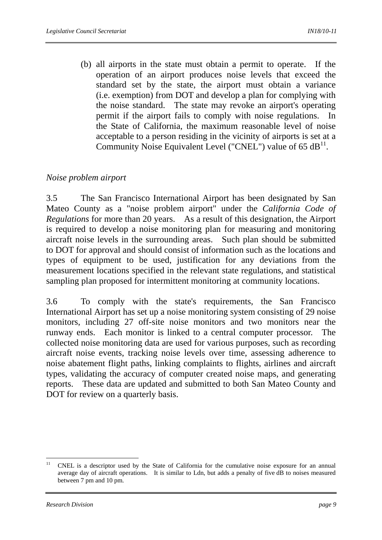(b) all airports in the state must obtain a permit to operate. If the operation of an airport produces noise levels that exceed the standard set by the state, the airport must obtain a variance (i.e. exemption) from DOT and develop a plan for complying with the noise standard. The state may revoke an airport's operating permit if the airport fails to comply with noise regulations. In the State of California, the maximum reasonable level of noise acceptable to a person residing in the vicinity of airports is set at a Community Noise Equivalent Level ("CNEL") value of  $65 \text{ dB}^{11}$ .

### *Noise problem airport*

3.5 The San Francisco International Airport has been designated by San Mateo County as a "noise problem airport" under the *California Code of Regulations* for more than 20 years. As a result of this designation, the Airport is required to develop a noise monitoring plan for measuring and monitoring aircraft noise levels in the surrounding areas. Such plan should be submitted to DOT for approval and should consist of information such as the locations and types of equipment to be used, justification for any deviations from the measurement locations specified in the relevant state regulations, and statistical sampling plan proposed for intermittent monitoring at community locations.

3.6 To comply with the state's requirements, the San Francisco International Airport has set up a noise monitoring system consisting of 29 noise monitors, including 27 off-site noise monitors and two monitors near the runway ends. Each monitor is linked to a central computer processor. The collected noise monitoring data are used for various purposes, such as recording aircraft noise events, tracking noise levels over time, assessing adherence to noise abatement flight paths, linking complaints to flights, airlines and aircraft types, validating the accuracy of computer created noise maps, and generating reports. These data are updated and submitted to both San Mateo County and DOT for review on a quarterly basis.

 $11$ 11 CNEL is a descriptor used by the State of California for the cumulative noise exposure for an annual average day of aircraft operations. It is similar to Ldn, but adds a penalty of five dB to noises measured between 7 pm and 10 pm.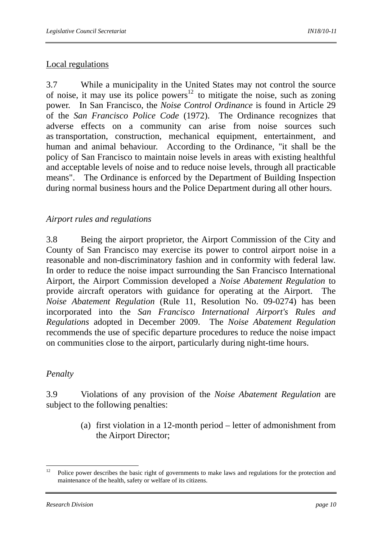## Local regulations

3.7 While a municipality in the United States may not control the source of noise, it may use its police powers<sup>12</sup> to mitigate the noise, such as zoning power. In San Francisco, the *Noise Control Ordinance* is found in Article 29 of the *San Francisco Police Code* (1972). The Ordinance recognizes that adverse effects on a community can arise from noise sources such as transportation, construction, mechanical equipment, entertainment, and human and animal behaviour. According to the Ordinance, "it shall be the policy of San Francisco to maintain noise levels in areas with existing healthful and acceptable levels of noise and to reduce noise levels, through all practicable means". The Ordinance is enforced by the Department of Building Inspection during normal business hours and the Police Department during all other hours.

### *Airport rules and regulations*

3.8 Being the airport proprietor, the Airport Commission of the City and County of San Francisco may exercise its power to control airport noise in a reasonable and non-discriminatory fashion and in conformity with federal law. In order to reduce the noise impact surrounding the San Francisco International Airport, the Airport Commission developed a *Noise Abatement Regulation* to provide aircraft operators with guidance for operating at the Airport. The *Noise Abatement Regulation* (Rule 11, Resolution No. 09-0274) has been incorporated into the *San Francisco International Airport's Rules and Regulations* adopted in December 2009. The *Noise Abatement Regulation* recommends the use of specific departure procedures to reduce the noise impact on communities close to the airport, particularly during night-time hours.

#### *Penalty*

3.9 Violations of any provision of the *Noise Abatement Regulation* are subject to the following penalties:

> (a) first violation in a 12-month period – letter of admonishment from the Airport Director;

<sup>12</sup> 12 Police power describes the basic right of governments to make laws and regulations for the protection and maintenance of the health, safety or welfare of its citizens.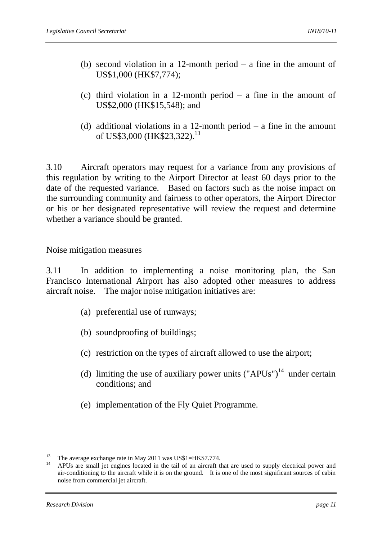- (b) second violation in a 12-month period a fine in the amount of US\$1,000 (HK\$7,774);
- (c) third violation in a 12-month period a fine in the amount of US\$2,000 (HK\$15,548); and
- (d) additional violations in a 12-month period  $-$  a fine in the amount of US\$3,000 (HK\$23,322).<sup>13</sup>

3.10 Aircraft operators may request for a variance from any provisions of this regulation by writing to the Airport Director at least 60 days prior to the date of the requested variance. Based on factors such as the noise impact on the surrounding community and fairness to other operators, the Airport Director or his or her designated representative will review the request and determine whether a variance should be granted.

#### Noise mitigation measures

3.11 In addition to implementing a noise monitoring plan, the San Francisco International Airport has also adopted other measures to address aircraft noise. The major noise mitigation initiatives are:

- (a) preferential use of runways;
- (b) soundproofing of buildings;
- (c) restriction on the types of aircraft allowed to use the airport;
- (d) limiting the use of auxiliary power units  $("APUs")<sup>14</sup>$  under certain conditions; and
- (e) implementation of the Fly Quiet Programme.

<sup>&</sup>lt;sup>13</sup> The average exchange rate in May 2011 was US\$1=HK\$7.774.

 $14$  APUs are small jet engines located in the tail of an aircraft that are used to supply electrical power and air-conditioning to the aircraft while it is on the ground. It is one of the most significant sources of cabin noise from commercial jet aircraft.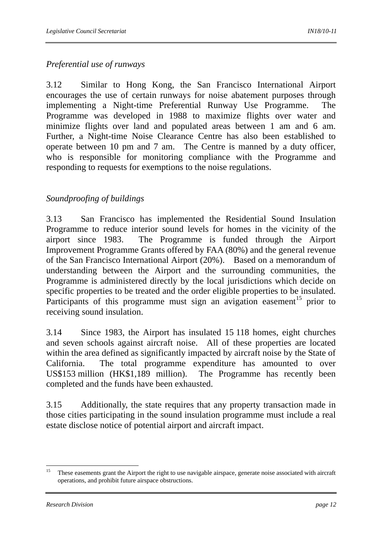## *Preferential use of runways*

3.12 Similar to Hong Kong, the San Francisco International Airport encourages the use of certain runways for noise abatement purposes through implementing a Night-time Preferential Runway Use Programme. The Programme was developed in 1988 to maximize flights over water and minimize flights over land and populated areas between 1 am and 6 am. Further, a Night-time Noise Clearance Centre has also been established to operate between 10 pm and 7 am. The Centre is manned by a duty officer, who is responsible for monitoring compliance with the Programme and responding to requests for exemptions to the noise regulations.

## *Soundproofing of buildings*

3.13 San Francisco has implemented the Residential Sound Insulation Programme to reduce interior sound levels for homes in the vicinity of the airport since 1983. The Programme is funded through the Airport Improvement Programme Grants offered by FAA (80%) and the general revenue of the San Francisco International Airport (20%). Based on a memorandum of understanding between the Airport and the surrounding communities, the Programme is administered directly by the local jurisdictions which decide on specific properties to be treated and the order eligible properties to be insulated. Participants of this programme must sign an avigation easement<sup>15</sup> prior to receiving sound insulation.

3.14 Since 1983, the Airport has insulated 15 118 homes, eight churches and seven schools against aircraft noise. All of these properties are located within the area defined as significantly impacted by aircraft noise by the State of California. The total programme expenditure has amounted to over US\$153 million (HK\$1,189 million). The Programme has recently been completed and the funds have been exhausted.

3.15 Additionally, the state requires that any property transaction made in those cities participating in the sound insulation programme must include a real estate disclose notice of potential airport and aircraft impact.

 $15<sup>15</sup>$ 15 These easements grant the Airport the right to use navigable airspace, generate noise associated with aircraft operations, and prohibit future airspace obstructions.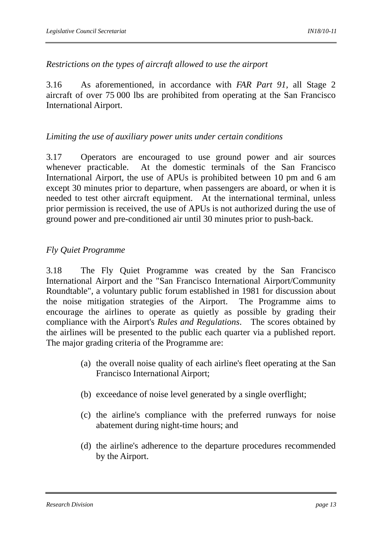## *Restrictions on the types of aircraft allowed to use the airport*

3.16 As aforementioned, in accordance with *FAR Part 91,* all Stage 2 aircraft of over 75 000 lbs are prohibited from operating at the San Francisco International Airport.

### *Limiting the use of auxiliary power units under certain conditions*

3.17 Operators are encouraged to use ground power and air sources whenever practicable. At the domestic terminals of the San Francisco International Airport, the use of APUs is prohibited between 10 pm and 6 am except 30 minutes prior to departure, when passengers are aboard, or when it is needed to test other aircraft equipment. At the international terminal, unless prior permission is received, the use of APUs is not authorized during the use of ground power and pre-conditioned air until 30 minutes prior to push-back.

## *Fly Quiet Programme*

3.18 The Fly Quiet Programme was created by the San Francisco International Airport and the "San Francisco International Airport/Community Roundtable", a voluntary public forum established in 1981 for discussion about the noise mitigation strategies of the Airport. The Programme aims to encourage the airlines to operate as quietly as possible by grading their compliance with the Airport's *Rules and Regulations*. The scores obtained by the airlines will be presented to the public each quarter via a published report. The major grading criteria of the Programme are:

- (a) the overall noise quality of each airline's fleet operating at the San Francisco International Airport;
- (b) exceedance of noise level generated by a single overflight;
- (c) the airline's compliance with the preferred runways for noise abatement during night-time hours; and
- (d) the airline's adherence to the departure procedures recommended by the Airport.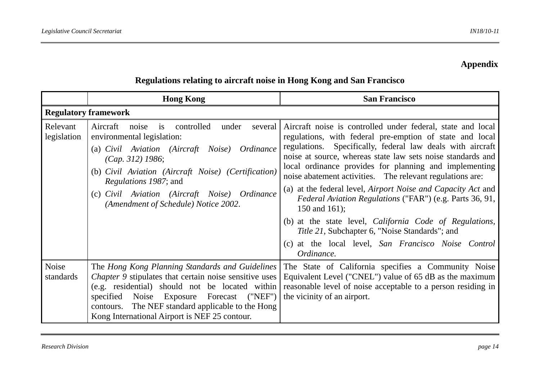## **Appendix**

|                             | <b>Hong Kong</b>                                                                                                                                                                                                                                                                                                                          | <b>San Francisco</b>                                                                                                                                                                                                                                                                                                                                                                                                                                                                                                                                                                                                                                                                                                               |
|-----------------------------|-------------------------------------------------------------------------------------------------------------------------------------------------------------------------------------------------------------------------------------------------------------------------------------------------------------------------------------------|------------------------------------------------------------------------------------------------------------------------------------------------------------------------------------------------------------------------------------------------------------------------------------------------------------------------------------------------------------------------------------------------------------------------------------------------------------------------------------------------------------------------------------------------------------------------------------------------------------------------------------------------------------------------------------------------------------------------------------|
| <b>Regulatory framework</b> |                                                                                                                                                                                                                                                                                                                                           |                                                                                                                                                                                                                                                                                                                                                                                                                                                                                                                                                                                                                                                                                                                                    |
| Relevant<br>legislation     | is controlled<br>under<br>Aircraft<br>noise<br>several<br>environmental legislation:<br>(a) Civil Aviation (Aircraft Noise) Ordinance<br>(Cap. 312) 1986;<br>(b) Civil Aviation (Aircraft Noise) (Certification)<br><i>Regulations 1987; and</i><br>(c) Civil Aviation (Aircraft Noise) Ordinance<br>(Amendment of Schedule) Notice 2002. | Aircraft noise is controlled under federal, state and local<br>regulations, with federal pre-emption of state and local<br>regulations. Specifically, federal law deals with aircraft<br>noise at source, whereas state law sets noise standards and<br>local ordinance provides for planning and implementing<br>noise abatement activities. The relevant regulations are:<br>at the federal level, <i>Airport Noise and Capacity Act</i> and<br>(a)<br>Federal Aviation Regulations ("FAR") (e.g. Parts 36, 91,<br>150 and 161);<br>(b) at the state level, <i>California Code of Regulations</i> ,<br>Title 21, Subchapter 6, "Noise Standards"; and<br>at the local level, San Francisco Noise<br>(c)<br>Control<br>Ordinance. |
| Noise<br>standards          | The Hong Kong Planning Standards and Guidelines<br>Chapter 9 stipulates that certain noise sensitive uses<br>(e.g. residential) should not be located within<br>specified Noise<br>Exposure Forecast<br>("NEF")<br>contours. The NEF standard applicable to the Hong<br>Kong International Airport is NEF 25 contour.                     | The State of California specifies a Community Noise<br>Equivalent Level ("CNEL") value of 65 dB as the maximum<br>reasonable level of noise acceptable to a person residing in<br>the vicinity of an airport.                                                                                                                                                                                                                                                                                                                                                                                                                                                                                                                      |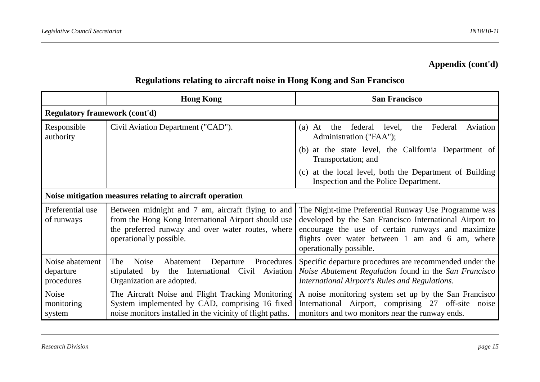## **Appendix (cont'd)**

|                                                          | <b>Hong Kong</b>                                                                                                                                                                         | <b>San Francisco</b>                                                                                                                                                                                                                               |
|----------------------------------------------------------|------------------------------------------------------------------------------------------------------------------------------------------------------------------------------------------|----------------------------------------------------------------------------------------------------------------------------------------------------------------------------------------------------------------------------------------------------|
| <b>Regulatory framework (cont'd)</b>                     |                                                                                                                                                                                          |                                                                                                                                                                                                                                                    |
| Responsible<br>authority                                 | Civil Aviation Department ("CAD").                                                                                                                                                       | federal<br>Federal<br>$(a)$ At<br>level,<br>the<br>Aviation<br>the<br>Administration ("FAA");                                                                                                                                                      |
|                                                          |                                                                                                                                                                                          | at the state level, the California Department of<br>(b)<br>Transportation; and                                                                                                                                                                     |
|                                                          |                                                                                                                                                                                          | at the local level, both the Department of Building<br>(c)<br>Inspection and the Police Department.                                                                                                                                                |
| Noise mitigation measures relating to aircraft operation |                                                                                                                                                                                          |                                                                                                                                                                                                                                                    |
| Preferential use<br>of runways                           | Between midnight and 7 am, aircraft flying to and<br>from the Hong Kong International Airport should use<br>the preferred runway and over water routes, where<br>operationally possible. | The Night-time Preferential Runway Use Programme was<br>developed by the San Francisco International Airport to<br>encourage the use of certain runways and maximize<br>flights over water between 1 am and 6 am, where<br>operationally possible. |
| Noise abatement<br>departure<br>procedures               | Procedures<br>Departure<br>Noise<br>Abatement<br>The<br>the International<br>Civil Aviation<br>stipulated by<br>Organization are adopted.                                                | Specific departure procedures are recommended under the<br>Noise Abatement Regulation found in the San Francisco<br>International Airport's Rules and Regulations.                                                                                 |
| Noise<br>monitoring<br>system                            | The Aircraft Noise and Flight Tracking Monitoring<br>System implemented by CAD, comprising 16 fixed<br>noise monitors installed in the vicinity of flight paths.                         | A noise monitoring system set up by the San Francisco<br>International Airport, comprising 27 off-site noise<br>monitors and two monitors near the runway ends.                                                                                    |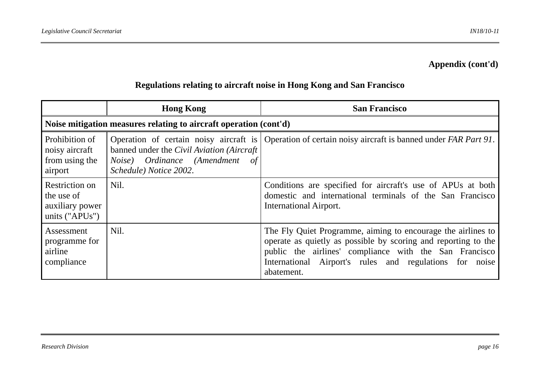## **Appendix (cont'd)**

|                                                                   | <b>Hong Kong</b>                                                                                       | <b>San Francisco</b>                                                                                                                                                                                                                                              |  |
|-------------------------------------------------------------------|--------------------------------------------------------------------------------------------------------|-------------------------------------------------------------------------------------------------------------------------------------------------------------------------------------------------------------------------------------------------------------------|--|
| Noise mitigation measures relating to aircraft operation (cont'd) |                                                                                                        |                                                                                                                                                                                                                                                                   |  |
| Prohibition of<br>noisy aircraft<br>from using the<br>airport     | banned under the Civil Aviation (Aircraft)<br>Noise) Ordinance (Amendment of<br>Schedule) Notice 2002. | Operation of certain noisy aircraft is Operation of certain noisy aircraft is banned under FAR Part 91.                                                                                                                                                           |  |
| Restriction on<br>the use of<br>auxiliary power<br>units ("APUs") | Nil.                                                                                                   | Conditions are specified for aircraft's use of APUs at both<br>domestic and international terminals of the San Francisco<br>International Airport.                                                                                                                |  |
| Assessment<br>programme for<br>airline<br>compliance              | Nil.                                                                                                   | The Fly Quiet Programme, aiming to encourage the airlines to<br>operate as quietly as possible by scoring and reporting to the<br>public the airlines' compliance with the San Francisco<br>International Airport's rules and regulations for noise<br>abatement. |  |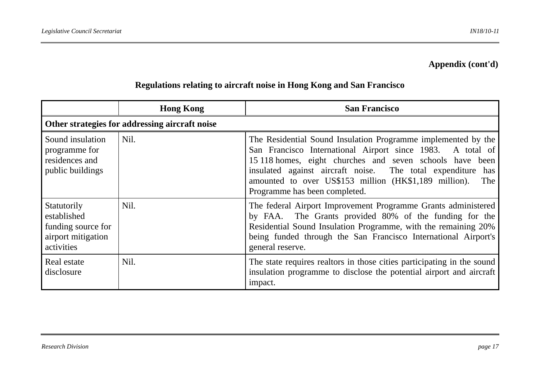## **Appendix (cont'd)**

|                                                                                      | <b>Hong Kong</b> | <b>San Francisco</b>                                                                                                                                                                                                                                                                                                                                    |  |
|--------------------------------------------------------------------------------------|------------------|---------------------------------------------------------------------------------------------------------------------------------------------------------------------------------------------------------------------------------------------------------------------------------------------------------------------------------------------------------|--|
| Other strategies for addressing aircraft noise                                       |                  |                                                                                                                                                                                                                                                                                                                                                         |  |
| Sound insulation<br>programme for<br>residences and<br>public buildings              | Nil.             | The Residential Sound Insulation Programme implemented by the<br>San Francisco International Airport since 1983. A total of<br>15 118 homes, eight churches and seven schools have been<br>insulated against aircraft noise. The total expenditure has<br>amounted to over US\$153 million (HK\$1,189 million).<br>The<br>Programme has been completed. |  |
| Statutorily<br>established<br>funding source for<br>airport mitigation<br>activities | Nil.             | The federal Airport Improvement Programme Grants administered<br>by FAA. The Grants provided 80% of the funding for the<br>Residential Sound Insulation Programme, with the remaining 20%<br>being funded through the San Francisco International Airport's<br>general reserve.                                                                         |  |
| Real estate<br>disclosure                                                            | Nil.             | The state requires realtors in those cities participating in the sound<br>insulation programme to disclose the potential airport and aircraft<br>impact.                                                                                                                                                                                                |  |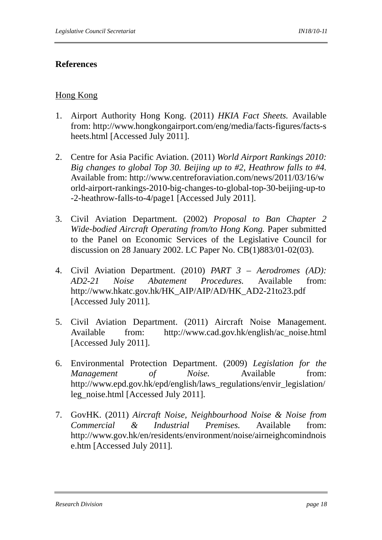## **References**

## Hong Kong

- 1. Airport Authority Hong Kong. (2011) *HKIA Fact Sheets.* Available from: http://www.hongkongairport.com/eng/media/facts-figures/facts-s heets.html [Accessed July 2011].
- 2. Centre for Asia Pacific Aviation. (2011) *World Airport Rankings 2010: Big changes to global Top 30. Beijing up to #2, Heathrow falls to #4.* Available from: http://www.centreforaviation.com/news/2011/03/16/w orld-airport-rankings-2010-big-changes-to-global-top-30-beijing-up-to -2-heathrow-falls-to-4/page1 [Accessed July 2011].
- 3. Civil Aviation Department. (2002) *Proposal to Ban Chapter 2 Wide-bodied Aircraft Operating from/to Hong Kong.* Paper submitted to the Panel on Economic Services of the Legislative Council for discussion on 28 January 2002. LC Paper No. CB(1)883/01-02(03).
- 4. Civil Aviation Department. (2010) *PART 3 Aerodromes (AD): AD2-21 Noise Abatement Procedures.* Available from: http://www.hkatc.gov.hk/HK\_AIP/AIP/AD/HK\_AD2-21to23.pdf [Accessed July 2011].
- 5. Civil Aviation Department. (2011) Aircraft Noise Management. Available from: http://www.cad.gov.hk/english/ac\_noise.html [Accessed July 2011].
- 6. Environmental Protection Department. (2009) *Legislation for the Management of Noise*. Available from: http://www.epd.gov.hk/epd/english/laws\_regulations/envir\_legislation/ leg\_noise.html [Accessed July 2011].
- 7. GovHK. (2011) *Aircraft Noise, Neighbourhood Noise & Noise from Commercial & Industrial Premises.* Available from: http://www.gov.hk/en/residents/environment/noise/airneighcomindnois e.htm [Accessed July 2011].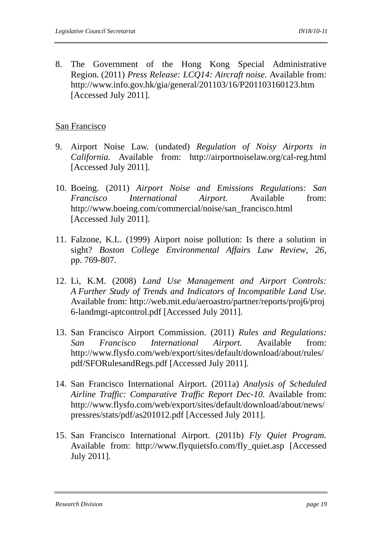8. The Government of the Hong Kong Special Administrative Region. (2011) *Press Release: LCQ14: Aircraft noise.* Available from: http://www.info.gov.hk/gia/general/201103/16/P201103160123.htm [Accessed July 2011].

### San Francisco

- 9. Airport Noise Law. (undated) *Regulation of Noisy Airports in California.* Available from: http://airportnoiselaw.org/cal-reg.html [Accessed July 2011].
- 10. Boeing. (2011) *Airport Noise and Emissions Regulations: San Francisco International Airport.* Available from: http://www.boeing.com/commercial/noise/san\_francisco.html [Accessed July 2011].
- 11. Falzone, K.L. (1999) Airport noise pollution: Is there a solution in sight? *Boston College Environmental Affairs Law Review*, *26,* pp. 769-807.
- 12. Li, K.M. (2008) *Land Use Management and Airport Controls: A Further Study of Trends and Indicators of Incompatible Land Use.* Available from: http://web.mit.edu/aeroastro/partner/reports/proj6/proj 6-landmgt-aptcontrol.pdf [Accessed July 2011].
- 13. San Francisco Airport Commission. (2011) *Rules and Regulations: San Francisco International Airport.* Available from: http://www.flysfo.com/web/export/sites/default/download/about/rules/ pdf/SFORulesandRegs.pdf [Accessed July 2011].
- 14. San Francisco International Airport. (2011a) *Analysis of Scheduled Airline Traffic: Comparative Traffic Report Dec-10.* Available from: http://www.flysfo.com/web/export/sites/default/download/about/news/ pressres/stats/pdf/as201012.pdf [Accessed July 2011].
- 15. San Francisco International Airport. (2011b) *Fly Quiet Program.* Available from: http://www.flyquietsfo.com/fly\_quiet.asp [Accessed] July 2011].